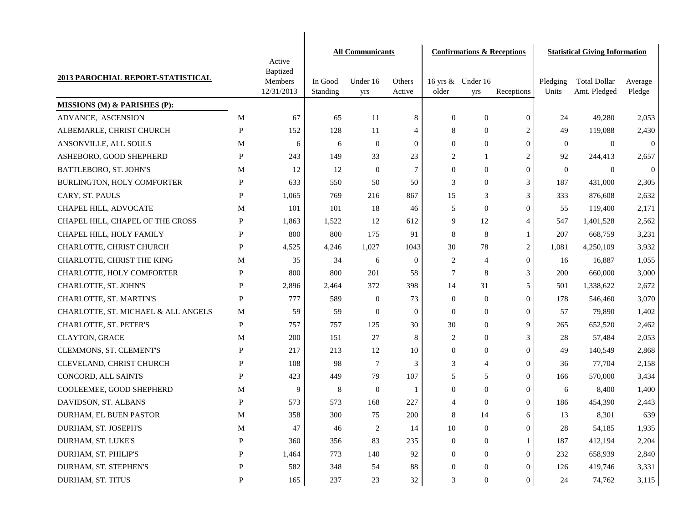|                                     |              |                                                    |                     | <b>All Communicants</b> |                  |                  | <b>Confirmations &amp; Receptions</b> |                  | <b>Statistical Giving Information</b> |                                     |                   |
|-------------------------------------|--------------|----------------------------------------------------|---------------------|-------------------------|------------------|------------------|---------------------------------------|------------------|---------------------------------------|-------------------------------------|-------------------|
| 2013 PAROCHIAL REPORT-STATISTICAL   |              | Active<br><b>Baptized</b><br>Members<br>12/31/2013 | In Good<br>Standing | Under 16<br>yrs         | Others<br>Active | older            | 16 yrs & Under 16<br>yrs              | Receptions       | Pledging<br>Units                     | <b>Total Dollar</b><br>Amt. Pledged | Average<br>Pledge |
| MISSIONS (M) & PARISHES (P):        |              |                                                    |                     |                         |                  |                  |                                       |                  |                                       |                                     |                   |
| ADVANCE, ASCENSION                  | M            | 67                                                 | 65                  | 11                      | 8                | $\boldsymbol{0}$ | $\boldsymbol{0}$                      | $\mathbf{0}$     | 24                                    | 49,280                              | 2,053             |
| ALBEMARLE, CHRIST CHURCH            | P            | 152                                                | 128                 | 11                      | 4                | 8                | $\mathbf{0}$                          | $\overline{c}$   | 49                                    | 119,088                             | 2,430             |
| ANSONVILLE, ALL SOULS               | М            | 6                                                  | 6                   | $\mathbf{0}$            | 0                | $\theta$         | $\mathbf{0}$                          | $\theta$         | $\overline{0}$                        | $\mathbf{0}$                        | $\boldsymbol{0}$  |
| ASHEBORO, GOOD SHEPHERD             | P            | 243                                                | 149                 | 33                      | 23               | 2                | -1                                    | $\overline{2}$   | 92                                    | 244,413                             | 2,657             |
| BATTLEBORO, ST. JOHN'S              | М            | 12                                                 | 12                  | $\theta$                | 7                | $\mathbf{0}$     | $\mathbf{0}$                          | $\Omega$         | $\overline{0}$                        | $\overline{0}$                      | $\overline{0}$    |
| BURLINGTON, HOLY COMFORTER          | P            | 633                                                | 550                 | 50                      | 50               | 3                | $\mathbf{0}$                          | 3                | 187                                   | 431,000                             | 2,305             |
| CARY, ST. PAULS                     | P            | 1,065                                              | 769                 | 216                     | 867              | 15               | 3                                     | 3                | 333                                   | 876,608                             | 2,632             |
| CHAPEL HILL, ADVOCATE               | М            | 101                                                | 101                 | 18                      | 46               | 5                | $\theta$                              | $\Omega$         | 55                                    | 119,400                             | 2,171             |
| CHAPEL HILL, CHAPEL OF THE CROSS    | P            | 1,863                                              | 1,522               | 12                      | 612              | 9                | 12                                    | $\overline{4}$   | 547                                   | 1,401,528                           | 2,562             |
| CHAPEL HILL, HOLY FAMILY            | P            | 800                                                | 800                 | 175                     | 91               | 8                | 8                                     | -1               | 207                                   | 668,759                             | 3,231             |
| CHARLOTTE, CHRIST CHURCH            | P            | 4,525                                              | 4,246               | 1,027                   | 1043             | 30               | 78                                    | $\overline{2}$   | 1,081                                 | 4,250,109                           | 3,932             |
| CHARLOTTE, CHRIST THE KING          | М            | 35                                                 | 34                  | 6                       | $\boldsymbol{0}$ | 2                | 4                                     | $\Omega$         | 16                                    | 16,887                              | 1,055             |
| CHARLOTTE, HOLY COMFORTER           | P            | 800                                                | 800                 | 201                     | 58               | 7                | 8                                     | 3                | 200                                   | 660,000                             | 3,000             |
| CHARLOTTE, ST. JOHN'S               | P            | 2,896                                              | 2,464               | 372                     | 398              | 14               | 31                                    | 5                | 501                                   | 1,338,622                           | 2,672             |
| CHARLOTTE, ST. MARTIN'S             | P            | 777                                                | 589                 | $\mathbf{0}$            | 73               | $\boldsymbol{0}$ | $\mathbf{0}$                          | $\Omega$         | 178                                   | 546,460                             | 3,070             |
| CHARLOTTE, ST. MICHAEL & ALL ANGELS | М            | 59                                                 | 59                  | $\theta$                | $\theta$         | $\mathbf{0}$     | $\mathbf{0}$                          | $\Omega$         | 57                                    | 79,890                              | 1,402             |
| CHARLOTTE, ST. PETER'S              | $\mathbf{P}$ | 757                                                | 757                 | 125                     | 30               | 30               | $\mathbf{0}$                          | 9                | 265                                   | 652,520                             | 2,462             |
| <b>CLAYTON, GRACE</b>               | М            | 200                                                | 151                 | 27                      | 8                | 2                | $\mathbf{0}$                          | 3                | 28                                    | 57,484                              | 2,053             |
| CLEMMONS, ST. CLEMENT'S             | P            | 217                                                | 213                 | 12                      | 10               | $\boldsymbol{0}$ | $\mathbf{0}$                          | $\Omega$         | 49                                    | 140,549                             | 2,868             |
| CLEVELAND, CHRIST CHURCH            | P            | 108                                                | 98                  | $\tau$                  | 3                | 3                | $\overline{4}$                        | $\Omega$         | 36                                    | 77,704                              | 2,158             |
| CONCORD, ALL SAINTS                 | P            | 423                                                | 449                 | 79                      | 107              | 5                | 5                                     | $\Omega$         | 166                                   | 570,000                             | 3,434             |
| COOLEEMEE, GOOD SHEPHERD            | М            | 9                                                  | 8                   | $\theta$                | 1                | $\mathbf{0}$     | $\mathbf{0}$                          | $\Omega$         | 6                                     | 8,400                               | 1,400             |
| DAVIDSON, ST. ALBANS                | P            | 573                                                | 573                 | 168                     | 227              | $\overline{4}$   | $\theta$                              | $\Omega$         | 186                                   | 454,390                             | 2,443             |
| DURHAM, EL BUEN PASTOR              | M            | 358                                                | 300                 | 75                      | 200              | 8                | 14                                    | 6                | 13                                    | 8,301                               | 639               |
| DURHAM, ST. JOSEPH'S                | M            | 47                                                 | 46                  | 2                       | 14               | $10\,$           | $\boldsymbol{0}$                      | $\mathbf{0}$     | 28                                    | 54,185                              | 1,935             |
| DURHAM, ST. LUKE'S                  | P            | 360                                                | 356                 | 83                      | 235              | $\theta$         | $\theta$                              |                  | 187                                   | 412,194                             | 2,204             |
| DURHAM, ST. PHILIP'S                | P            | 1,464                                              | 773                 | 140                     | 92               | $\bf{0}$         | $\overline{0}$                        | $\boldsymbol{0}$ | 232                                   | 658,939                             | 2,840             |
| DURHAM, ST. STEPHEN'S               | P            | 582                                                | 348                 | 54                      | 88               | $\mathbf{0}$     | $\overline{0}$                        | $\mathbf{0}$     | 126                                   | 419,746                             | 3,331             |
| DURHAM, ST. TITUS                   | P            | 165                                                | 237                 | 23                      | 32               | 3                | $\boldsymbol{0}$                      | $\boldsymbol{0}$ | 24                                    | 74,762                              | 3,115             |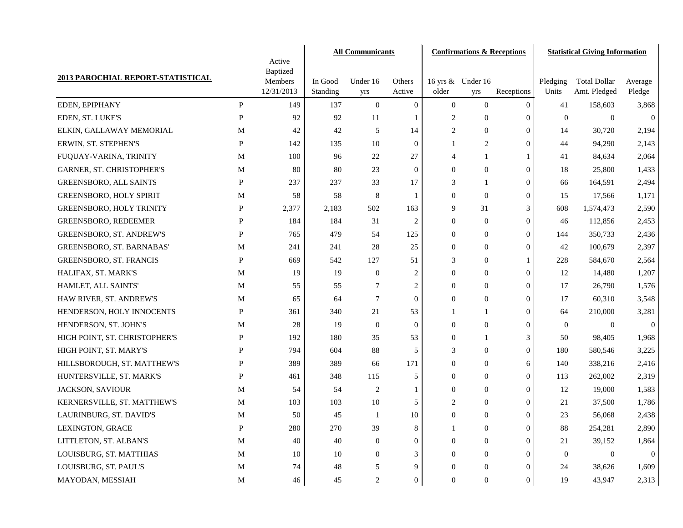|                                   |              | Active                            | <b>All Communicants</b> |                  |                  |                  |                          | <b>Confirmations &amp; Receptions</b> | <b>Statistical Giving Information</b> |                                     |                   |
|-----------------------------------|--------------|-----------------------------------|-------------------------|------------------|------------------|------------------|--------------------------|---------------------------------------|---------------------------------------|-------------------------------------|-------------------|
| 2013 PAROCHIAL REPORT-STATISTICAL |              | Baptized<br>Members<br>12/31/2013 | In Good<br>Standing     | Under 16<br>yrs  | Others<br>Active | older            | 16 yrs & Under 16<br>yrs | Receptions                            | Pledging<br>Units                     | <b>Total Dollar</b><br>Amt. Pledged | Average<br>Pledge |
| EDEN, EPIPHANY                    | $\mathbf{P}$ | 149                               | 137                     | $\mathbf{0}$     | $\mathbf{0}$     | $\boldsymbol{0}$ | $\mathbf{0}$             | $\boldsymbol{0}$                      | 41                                    | 158,603                             | 3,868             |
| EDEN, ST. LUKE'S                  | P            | 92                                | 92                      | 11               | 1                | 2                | $\overline{0}$           | $\mathbf{0}$                          | $\overline{0}$                        | $\overline{0}$                      | $\boldsymbol{0}$  |
| ELKIN, GALLAWAY MEMORIAL          | M            | 42                                | 42                      | 5                | 14               | $\overline{c}$   | $\mathbf{0}$             | $\mathbf{0}$                          | 14                                    | 30,720                              | 2,194             |
| ERWIN, ST. STEPHEN'S              | P            | 142                               | 135                     | 10               | $\mathbf{0}$     | 1                | $\overline{c}$           | $\mathbf{0}$                          | 44                                    | 94,290                              | 2,143             |
| FUQUAY-VARINA, TRINITY            | M            | 100                               | 96                      | 22               | 27               | 4                | 1                        | $\mathbf{1}$                          | 41                                    | 84,634                              | 2,064             |
| GARNER, ST. CHRISTOPHER'S         | M            | 80                                | 80                      | 23               | $\theta$         | $\mathbf{0}$     | $\mathbf{0}$             | $\mathbf{0}$                          | 18                                    | 25,800                              | 1,433             |
| <b>GREENSBORO, ALL SAINTS</b>     | P            | 237                               | 237                     | 33               | 17               | 3                | 1                        | $\mathbf{0}$                          | 66                                    | 164,591                             | 2,494             |
| <b>GREENSBORO, HOLY SPIRIT</b>    | M            | 58                                | 58                      | 8                | 1                | $\overline{0}$   | $\mathbf{0}$             | $\mathbf{0}$                          | 15                                    | 17,566                              | 1,171             |
| GREENSBORO, HOLY TRINITY          | P            | 2,377                             | 2,183                   | 502              | 163              | 9                | 31                       | 3                                     | 608                                   | 1,574,473                           | 2,590             |
| <b>GREENSBORO, REDEEMER</b>       | P            | 184                               | 184                     | 31               | $\overline{2}$   | $\overline{0}$   | $\overline{0}$           | $\mathbf{0}$                          | 46                                    | 112,856                             | 2,453             |
| <b>GREENSBORO, ST. ANDREW'S</b>   | $\mathbf{P}$ | 765                               | 479                     | 54               | 125              | $\overline{0}$   | $\overline{0}$           | $\mathbf{0}$                          | 144                                   | 350,733                             | 2,436             |
| GREENSBORO, ST. BARNABAS'         | M            | 241                               | 241                     | 28               | 25               | $\overline{0}$   | $\mathbf{0}$             | $\mathbf{0}$                          | 42                                    | 100,679                             | 2,397             |
| <b>GREENSBORO, ST. FRANCIS</b>    | P            | 669                               | 542                     | 127              | 51               | 3                | $\mathbf{0}$             | $\mathbf{1}$                          | 228                                   | 584,670                             | 2,564             |
| HALIFAX, ST. MARK'S               | M            | 19                                | 19                      | $\boldsymbol{0}$ | 2                | $\overline{0}$   | $\mathbf{0}$             | $\mathbf{0}$                          | 12                                    | 14,480                              | 1,207             |
| HAMLET, ALL SAINTS'               | M            | 55                                | 55                      | 7                | $\overline{c}$   | $\overline{0}$   | $\mathbf{0}$             | $\mathbf{0}$                          | 17                                    | 26,790                              | 1,576             |
| HAW RIVER, ST. ANDREW'S           | M            | 65                                | 64                      | $\tau$           | $\theta$         | $\overline{0}$   | $\mathbf{0}$             | $\mathbf{0}$                          | 17                                    | 60,310                              | 3,548             |
| HENDERSON, HOLY INNOCENTS         | P            | 361                               | 340                     | 21               | 53               | 1                | 1                        | $\mathbf{0}$                          | 64                                    | 210,000                             | 3,281             |
| HENDERSON, ST. JOHN'S             | M            | 28                                | 19                      | $\boldsymbol{0}$ | $\theta$         | $\overline{0}$   | $\mathbf{0}$             | $\mathbf{0}$                          | $\overline{0}$                        | $\overline{0}$                      | $\boldsymbol{0}$  |
| HIGH POINT, ST. CHRISTOPHER'S     | P            | 192                               | 180                     | 35               | 53               | $\overline{0}$   | 1                        | 3                                     | 50                                    | 98,405                              | 1,968             |
| HIGH POINT, ST. MARY'S            | P            | 794                               | 604                     | 88               | 5                | 3                | $\overline{0}$           | $\mathbf{0}$                          | 180                                   | 580,546                             | 3,225             |
| HILLSBOROUGH, ST. MATTHEW'S       | $\mathbf{P}$ | 389                               | 389                     | 66               | 171              | $\overline{0}$   | $\mathbf{0}$             | 6                                     | 140                                   | 338,216                             | 2,416             |
| HUNTERSVILLE, ST. MARK'S          | P            | 461                               | 348                     | 115              | 5                | $\mathbf{0}$     | $\overline{0}$           | $\mathbf{0}$                          | 113                                   | 262,002                             | 2,319             |
| <b>JACKSON, SAVIOUR</b>           | M            | 54                                | 54                      | 2                | 1                | $\overline{0}$   | $\overline{0}$           | $\boldsymbol{0}$                      | 12                                    | 19,000                              | 1,583             |
| KERNERSVILLE, ST. MATTHEW'S       | M            | 103                               | 103                     | 10               | 5                | 2                | $\mathbf{0}$             | $\overline{0}$                        | 21                                    | 37,500                              | 1,786             |
| LAURINBURG, ST. DAVID'S           | М            | 50                                | 45                      | $\mathbf{1}$     | 10               | $\overline{0}$   | $\Omega$                 | $\overline{0}$                        | 23                                    | 56,068                              | 2,438             |
| LEXINGTON, GRACE                  | P            | 280                               | 270                     | 39               | 8                | 1                | $\overline{0}$           | $\boldsymbol{0}$                      | 88                                    | 254,281                             | 2,890             |
| LITTLETON, ST. ALBAN'S            | $\mathbf M$  | 40                                | 40                      | $\boldsymbol{0}$ | $\mathbf{0}$     | 0                | $\overline{0}$           | $\mathbf{0}$                          | 21                                    | 39,152                              | 1,864             |
| LOUISBURG, ST. MATTHIAS           | $\mathbf M$  | 10                                | 10                      | $\boldsymbol{0}$ | 3                | $\overline{0}$   | $\overline{0}$           | $\boldsymbol{0}$                      | $\boldsymbol{0}$                      | $\mathbf{0}$                        | $\mathbf{0}$      |
| LOUISBURG, ST. PAUL'S             | $\mathbf M$  | 74                                | 48                      | $\sqrt{5}$       | $\overline{9}$   | $\overline{0}$   | $\overline{0}$           | $\mathbf{0}$                          | 24                                    | 38,626                              | 1,609             |
| MAYODAN, MESSIAH                  | M            | 46                                | 45                      | $\overline{c}$   | $\boldsymbol{0}$ | $\mathbf{0}$     | $\mathbf{0}$             | $\boldsymbol{0}$                      | 19                                    | 43,947                              | 2,313             |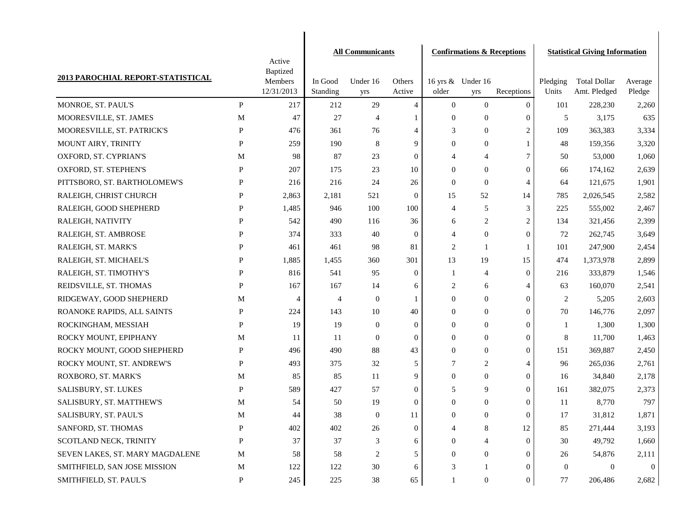|                                   |              | Active                | <b>All Communicants</b> |                  |                  |                  |                          | <b>Confirmations &amp; Receptions</b> | <b>Statistical Giving Information</b> |                                     |                   |  |
|-----------------------------------|--------------|-----------------------|-------------------------|------------------|------------------|------------------|--------------------------|---------------------------------------|---------------------------------------|-------------------------------------|-------------------|--|
|                                   |              | Baptized              |                         |                  |                  |                  |                          |                                       |                                       |                                     |                   |  |
| 2013 PAROCHIAL REPORT-STATISTICAL |              | Members<br>12/31/2013 | In Good<br>Standing     | Under 16<br>yrs  | Others<br>Active | older            | 16 yrs & Under 16<br>yrs | Receptions                            | Pledging<br>Units                     | <b>Total Dollar</b><br>Amt. Pledged | Average<br>Pledge |  |
| MONROE, ST. PAUL'S                | P            | 217                   | 212                     | 29               | $\overline{4}$   | $\mathbf{0}$     | $\mathbf{0}$             | $\mathbf{0}$                          | 101                                   | 228,230                             | 2,260             |  |
| MOORESVILLE, ST. JAMES            | M            | 47                    | 27                      | $\overline{4}$   | 1                | $\boldsymbol{0}$ | $\overline{0}$           | $\boldsymbol{0}$                      | 5                                     | 3,175                               | 635               |  |
| MOORESVILLE, ST. PATRICK'S        | P            | 476                   | 361                     | 76               | $\overline{4}$   | 3                | $\mathbf{0}$             | $\boldsymbol{2}$                      | 109                                   | 363,383                             | 3,334             |  |
| MOUNT AIRY, TRINITY               | $\mathbf{P}$ | 259                   | 190                     | 8                | 9                | $\theta$         | $\boldsymbol{0}$         | $\mathbf{1}$                          | 48                                    | 159,356                             | 3,320             |  |
| OXFORD, ST. CYPRIAN'S             | M            | 98                    | 87                      | 23               | $\overline{0}$   | 4                | 4                        | $\tau$                                | 50                                    | 53,000                              | 1,060             |  |
| OXFORD, ST. STEPHEN'S             | $\mathbf{P}$ | 207                   | 175                     | 23               | 10               | $\theta$         | $\overline{0}$           | $\boldsymbol{0}$                      | 66                                    | 174,162                             | 2,639             |  |
| PITTSBORO, ST. BARTHOLOMEW'S      | $\mathbf{P}$ | 216                   | 216                     | 24               | 26               | $\Omega$         | $\mathbf{0}$             | $\overline{4}$                        | 64                                    | 121,675                             | 1,901             |  |
| RALEIGH, CHRIST CHURCH            | $\mathbf{P}$ | 2,863                 | 2,181                   | 521              | $\boldsymbol{0}$ | 15               | 52                       | 14                                    | 785                                   | 2,026,545                           | 2,582             |  |
| RALEIGH, GOOD SHEPHERD            | P            | 1,485                 | 946                     | 100              | 100              | $\overline{4}$   | 5                        | 3                                     | 225                                   | 555,002                             | 2,467             |  |
| RALEIGH, NATIVITY                 | P            | 542                   | 490                     | 116              | 36               | 6                | $\overline{c}$           | $\boldsymbol{2}$                      | 134                                   | 321,456                             | 2,399             |  |
| RALEIGH, ST. AMBROSE              | P            | 374                   | 333                     | 40               | $\mathbf{0}$     | $\overline{4}$   | $\overline{0}$           | $\boldsymbol{0}$                      | 72                                    | 262,745                             | 3,649             |  |
| RALEIGH, ST. MARK'S               | P            | 461                   | 461                     | 98               | 81               | $\overline{2}$   | 1                        | 1                                     | 101                                   | 247,900                             | 2,454             |  |
| RALEIGH, ST. MICHAEL'S            | P            | 1,885                 | 1,455                   | 360              | 301              | 13               | 19                       | 15                                    | 474                                   | 1,373,978                           | 2,899             |  |
| RALEIGH, ST. TIMOTHY'S            | $\mathbf{P}$ | 816                   | 541                     | 95               | $\boldsymbol{0}$ | 1                | $\overline{4}$           | $\mathbf{0}$                          | 216                                   | 333,879                             | 1,546             |  |
| REIDSVILLE, ST. THOMAS            | P            | 167                   | 167                     | 14               | 6                | 2                | 6                        | 4                                     | 63                                    | 160,070                             | 2,541             |  |
| RIDGEWAY, GOOD SHEPHERD           | M            | 4                     | $\overline{4}$          | $\boldsymbol{0}$ | 1                | $\mathbf{0}$     | $\boldsymbol{0}$         | $\mathbf{0}$                          | 2                                     | 5,205                               | 2,603             |  |
| ROANOKE RAPIDS, ALL SAINTS        | $\mathbf{P}$ | 224                   | 143                     | 10               | 40               | $\mathbf{0}$     | $\overline{0}$           | $\mathbf{0}$                          | 70                                    | 146,776                             | 2,097             |  |
| ROCKINGHAM, MESSIAH               | $\mathbf{P}$ | 19                    | 19                      | $\boldsymbol{0}$ | $\mathbf{0}$     | $\mathbf{0}$     | $\boldsymbol{0}$         | $\mathbf{0}$                          | 1                                     | 1,300                               | 1,300             |  |
| ROCKY MOUNT, EPIPHANY             | M            | 11                    | 11                      | $\overline{0}$   | $\mathbf{0}$     | $\mathbf{0}$     | $\mathbf{0}$             | $\boldsymbol{0}$                      | 8                                     | 11,700                              | 1,463             |  |
| ROCKY MOUNT, GOOD SHEPHERD        | P            | 496                   | 490                     | $88\,$           | 43               | $\mathbf{0}$     | $\boldsymbol{0}$         | $\mathbf{0}$                          | 151                                   | 369,887                             | 2,450             |  |
| ROCKY MOUNT, ST. ANDREW'S         | $\mathbf{P}$ | 493                   | 375                     | 32               | 5                | 7                | $\overline{c}$           | $\overline{4}$                        | 96                                    | 265,036                             | 2,761             |  |
| ROXBORO, ST. MARK'S               | M            | 85                    | 85                      | 11               | 9                | $\mathbf{0}$     | $\overline{0}$           | $\boldsymbol{0}$                      | 16                                    | 34,840                              | 2,178             |  |
| SALISBURY, ST. LUKES              | P            | 589                   | 427                     | 57               | $\overline{0}$   | 5                | 9                        | $\mathbf{0}$                          | 161                                   | 382,075                             | 2,373             |  |
| SALISBURY, ST. MATTHEW'S          | M            | 54                    | 50                      | 19               | $\mathbf{0}$     | $\mathbf{0}$     | $\boldsymbol{0}$         | $\boldsymbol{0}$                      | 11                                    | 8,770                               | 797               |  |
| SALISBURY, ST. PAUL'S             | М            | 44                    | 38                      | $\overline{0}$   | 11               | $\mathbf{0}$     | $\theta$                 | $\boldsymbol{0}$                      | 17                                    | 31,812                              | 1,871             |  |
| SANFORD, ST. THOMAS               | $\mathbf{P}$ | 402                   | 402                     | 26               | $\mathbf{0}$     | 4                | 8                        | 12                                    | 85                                    | 271,444                             | 3,193             |  |
| SCOTLAND NECK, TRINITY            | P            | 37                    | 37                      | 3                | 6                | $\overline{0}$   |                          | $\mathbf{0}$                          | 30                                    | 49,792                              | 1,660             |  |
| SEVEN LAKES, ST. MARY MAGDALENE   | $\mathbf M$  | 58                    | 58                      | 2                | 5                | 0                | $\theta$                 | $\overline{0}$                        | 26                                    | 54,876                              | 2,111             |  |
| SMITHFIELD, SAN JOSE MISSION      | $\mathbf M$  | 122                   | 122                     | $30\,$           | 6                | 3                |                          | $\overline{0}$                        | $\overline{0}$                        | $\Omega$                            | $\theta$          |  |
| SMITHFIELD, ST. PAUL'S            | P            | 245                   | 225                     | 38               | 65               |                  | $\boldsymbol{0}$         | $\boldsymbol{0}$                      | 77                                    | 206,486                             | 2,682             |  |